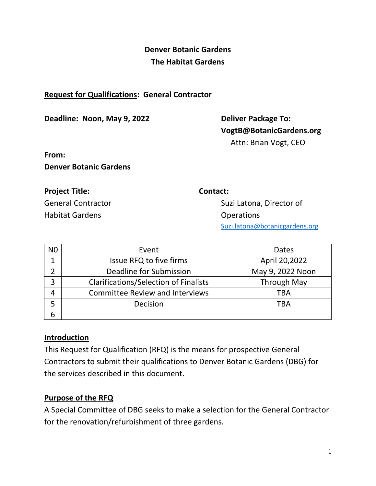## **Denver Botanic Gardens The Habitat Gardens**

#### **Request for Qualifications: General Contractor**

**Deadline: Noon, May 9, 2022 Deliver Package To:** 

**VogtB@BotanicGardens.org** Attn: Brian Vogt, CEO

**From: Denver Botanic Gardens**

# **Project Title:** Contact:

Habitat Gardens **Contact Cardens** Changes **Contact Cardens** Changes Operations

General Contractor Suzi Latona, Director of [Suzi.latona@botanicgardens.org](mailto:Suzi.latona@botanicgardens.org)

| N <sub>0</sub> | Event                                        | <b>Dates</b>       |
|----------------|----------------------------------------------|--------------------|
|                | Issue RFQ to five firms                      | April 20,2022      |
|                | Deadline for Submission                      | May 9, 2022 Noon   |
| 3              | <b>Clarifications/Selection of Finalists</b> | <b>Through May</b> |
|                | <b>Committee Review and Interviews</b>       | TBA                |
|                | Decision                                     | TBA                |
| 6              |                                              |                    |

## **Introduction**

This Request for Qualification (RFQ) is the means for prospective General Contractors to submit their qualifications to Denver Botanic Gardens (DBG) for the services described in this document.

## **Purpose of the RFQ**

A Special Committee of DBG seeks to make a selection for the General Contractor for the renovation/refurbishment of three gardens.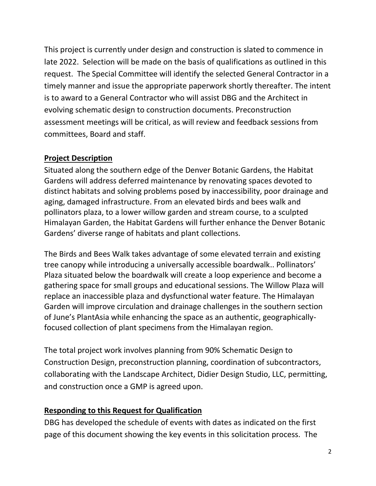This project is currently under design and construction is slated to commence in late 2022. Selection will be made on the basis of qualifications as outlined in this request. The Special Committee will identify the selected General Contractor in a timely manner and issue the appropriate paperwork shortly thereafter. The intent is to award to a General Contractor who will assist DBG and the Architect in evolving schematic design to construction documents. Preconstruction assessment meetings will be critical, as will review and feedback sessions from committees, Board and staff.

## **Project Description**

Situated along the southern edge of the Denver Botanic Gardens, the Habitat Gardens will address deferred maintenance by renovating spaces devoted to distinct habitats and solving problems posed by inaccessibility, poor drainage and aging, damaged infrastructure. From an elevated birds and bees walk and pollinators plaza, to a lower willow garden and stream course, to a sculpted Himalayan Garden, the Habitat Gardens will further enhance the Denver Botanic Gardens' diverse range of habitats and plant collections.

The Birds and Bees Walk takes advantage of some elevated terrain and existing tree canopy while introducing a universally accessible boardwalk.. Pollinators' Plaza situated below the boardwalk will create a loop experience and become a gathering space for small groups and educational sessions. The Willow Plaza will replace an inaccessible plaza and dysfunctional water feature. The Himalayan Garden will improve circulation and drainage challenges in the southern section of June's PlantAsia while enhancing the space as an authentic, geographicallyfocused collection of plant specimens from the Himalayan region.

The total project work involves planning from 90% Schematic Design to Construction Design, preconstruction planning, coordination of subcontractors, collaborating with the Landscape Architect, Didier Design Studio, LLC, permitting, and construction once a GMP is agreed upon.

## **Responding to this Request for Qualification**

DBG has developed the schedule of events with dates as indicated on the first page of this document showing the key events in this solicitation process. The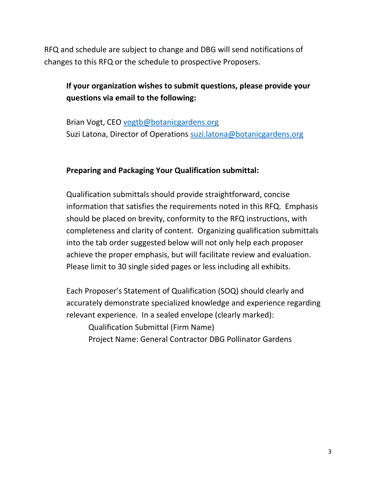RFQ and schedule are subject to change and DBG will send notifications of changes to this RFQ or the schedule to prospective Proposers.

## **If your organization wishes to submit questions, please provide your questions via email to the following:**

Brian Vogt, CEO [vogtb@botanicgardens.org](mailto:vogtb@botanicgardens.org) Suzi Latona, Director of Operations [suzi.latona@botanicgardens.org](mailto:suzi.latona@botanicgardens.org)

#### **Preparing and Packaging Your Qualification submittal:**

Qualification submittals should provide straightforward, concise information that satisfies the requirements noted in this RFQ. Emphasis should be placed on brevity, conformity to the RFQ instructions, with completeness and clarity of content. Organizing qualification submittals into the tab order suggested below will not only help each proposer achieve the proper emphasis, but will facilitate review and evaluation. Please limit to 30 single sided pages or less including all exhibits.

Each Proposer's Statement of Qualification (SOQ) should clearly and accurately demonstrate specialized knowledge and experience regarding relevant experience. In a sealed envelope (clearly marked):

Qualification Submittal (Firm Name)

Project Name: General Contractor DBG Pollinator Gardens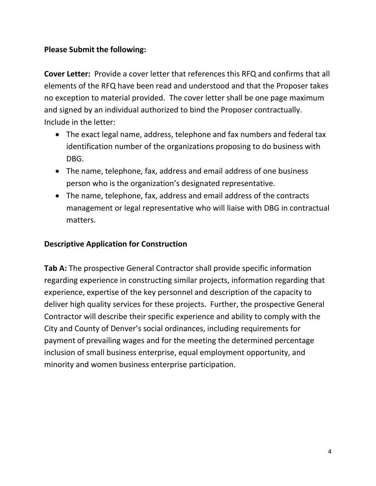## **Please Submit the following:**

**Cover Letter:** Provide a cover letter that references this RFQ and confirms that all elements of the RFQ have been read and understood and that the Proposer takes no exception to material provided. The cover letter shall be one page maximum and signed by an individual authorized to bind the Proposer contractually. Include in the letter:

- The exact legal name, address, telephone and fax numbers and federal tax identification number of the organizations proposing to do business with DBG.
- The name, telephone, fax, address and email address of one business person who is the organization's designated representative.
- The name, telephone, fax, address and email address of the contracts management or legal representative who will liaise with DBG in contractual matters.

## **Descriptive Application for Construction**

**Tab A:** The prospective General Contractor shall provide specific information regarding experience in constructing similar projects, information regarding that experience, expertise of the key personnel and description of the capacity to deliver high quality services for these projects. Further, the prospective General Contractor will describe their specific experience and ability to comply with the City and County of Denver's social ordinances, including requirements for payment of prevailing wages and for the meeting the determined percentage inclusion of small business enterprise, equal employment opportunity, and minority and women business enterprise participation.